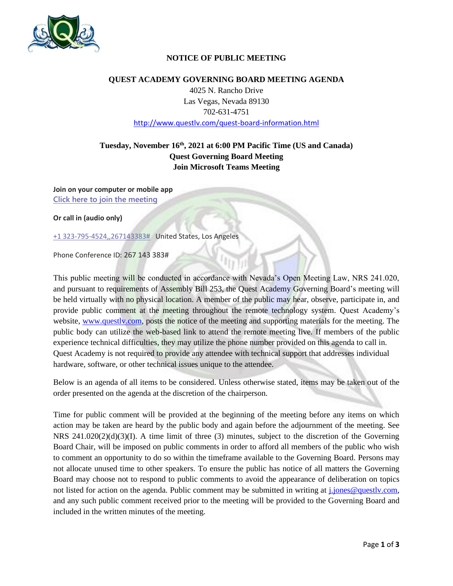

## **NOTICE OF PUBLIC MEETING**

#### **QUEST ACADEMY GOVERNING BOARD MEETING AGENDA**

4025 N. Rancho Drive Las Vegas, Nevada 89130 702-631-4751 <http://www.questlv.com/quest-board-information.html>

# **Tuesday, November 16th , 2021 at 6:00 PM Pacific Time (US and Canada) Quest Governing Board Meeting Join Microsoft Teams Meeting**

**Join on your computer or mobile app [Click here to join the meeting](https://teams.microsoft.com/l/meetup-join/19%3a671c1f5ecdbf4d0783db3783e5d41067%40thread.tacv2/1636558909031?context=%7b%22Tid%22%3a%227a4ff53f-4916-461e-8a03-1ade560cd7bf%22%2c%22Oid%22%3a%22f7f24eac-ff27-43e4-9d30-fdd3fe4a177f%22%7d)**

**Or call in (audio only)**

[+1 323-795-4524,,267143383#](tel:+13237954524,,267143383# ) United States, Los Angeles

Phone Conference ID: 267 143 383#

This public meeting will be conducted in accordance with Nevada's Open Meeting Law, NRS 241.020, and pursuant to requirements of Assembly Bill 253, the Quest Academy Governing Board's meeting will be held virtually with no physical location. A member of the public may hear, observe, participate in, and provide public comment at the meeting throughout the remote technology system. Quest Academy's website, [www.questlv.com,](http://www.questlv.com/) posts the notice of the meeting and supporting materials for the meeting. The public body can utilize the web-based link to attend the remote meeting live. If members of the public experience technical difficulties, they may utilize the phone number provided on this agenda to call in. Quest Academy is not required to provide any attendee with technical support that addresses individual hardware, software, or other technical issues unique to the attendee.

Below is an agenda of all items to be considered. Unless otherwise stated, items may be taken out of the order presented on the agenda at the discretion of the chairperson.

Time for public comment will be provided at the beginning of the meeting before any items on which action may be taken are heard by the public body and again before the adjournment of the meeting. See NRS 241.020(2)(d)(3)(I). A time limit of three (3) minutes, subject to the discretion of the Governing Board Chair, will be imposed on public comments in order to afford all members of the public who wish to comment an opportunity to do so within the timeframe available to the Governing Board. Persons may not allocate unused time to other speakers. To ensure the public has notice of all matters the Governing Board may choose not to respond to public comments to avoid the appearance of deliberation on topics not listed for action on the agenda. Public comment may be submitted in writing at [j.jones@questlv.com,](mailto:j.jones@questlv.com) and any such public comment received prior to the meeting will be provided to the Governing Board and included in the written minutes of the meeting.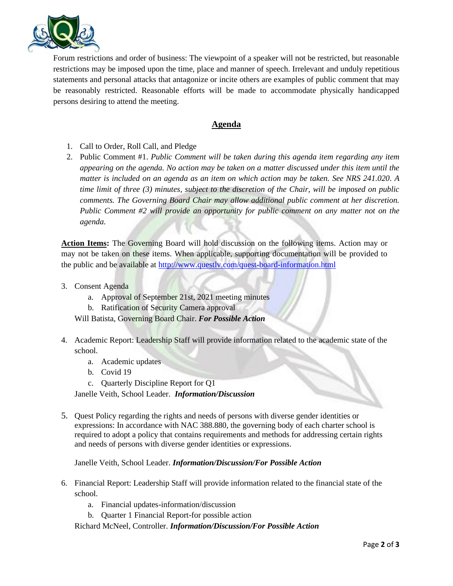

Forum restrictions and order of business: The viewpoint of a speaker will not be restricted, but reasonable restrictions may be imposed upon the time, place and manner of speech. Irrelevant and unduly repetitious statements and personal attacks that antagonize or incite others are examples of public comment that may be reasonably restricted. Reasonable efforts will be made to accommodate physically handicapped persons desiring to attend the meeting.

## **Agenda**

- 1. Call to Order, Roll Call, and Pledge
- 2. Public Comment #1. *Public Comment will be taken during this agenda item regarding any item appearing on the agenda. No action may be taken on a matter discussed under this item until the matter is included on an agenda as an item on which action may be taken. See NRS 241.020. A time limit of three (3) minutes, subject to the discretion of the Chair, will be imposed on public comments. The Governing Board Chair may allow additional public comment at her discretion. Public Comment #2 will provide an opportunity for public comment on any matter not on the agenda.*

**Action Items:** The Governing Board will hold discussion on the following items. Action may or may not be taken on these items. When applicable, supporting documentation will be provided to the public and be available at<http://www.questlv.com/quest-board-information.html>

- 3. Consent Agenda
	- a. Approval of September 21st, 2021 meeting minutes
	- b. Ratification of Security Camera approval

Will Batista, Governing Board Chair. *For Possible Action*

- 4. Academic Report: Leadership Staff will provide information related to the academic state of the school.
	- a. Academic updates
	- b. Covid 19
	- c. Quarterly Discipline Report for Q1

Janelle Veith, School Leader. *Information/Discussion*

5. Quest Policy regarding the rights and needs of persons with diverse gender identities or expressions: In accordance with NAC 388.880, the governing body of each charter school is required to adopt a policy that contains requirements and methods for addressing certain rights and needs of persons with diverse gender identities or expressions.

Janelle Veith, School Leader. *Information/Discussion/For Possible Action*

- 6. Financial Report: Leadership Staff will provide information related to the financial state of the school.
	- a. Financial updates-information/discussion
	- b. Quarter 1 Financial Report-for possible action

Richard McNeel, Controller. *Information/Discussion/For Possible Action*